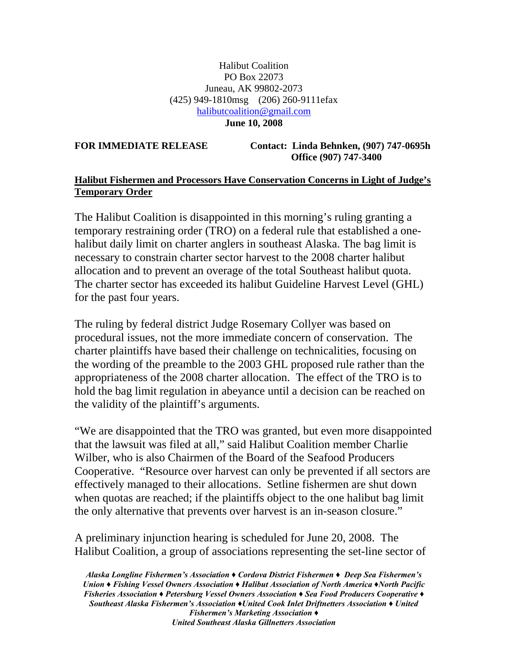## Halibut Coalition PO Box 22073 Juneau, AK 99802-2073 (425) 949-1810msg (206) 260-9111efax [halibutcoalition@gmail.com](mailto:halibutcoalition@gmail.com)  **June 10, 2008**

**FOR IMMEDIATE RELEASE Contact: Linda Behnken, (907) 747-0695h Office (907) 747-3400** 

## **Halibut Fishermen and Processors Have Conservation Concerns in Light of Judge's Temporary Order**

The Halibut Coalition is disappointed in this morning's ruling granting a temporary restraining order (TRO) on a federal rule that established a onehalibut daily limit on charter anglers in southeast Alaska. The bag limit is necessary to constrain charter sector harvest to the 2008 charter halibut allocation and to prevent an overage of the total Southeast halibut quota. The charter sector has exceeded its halibut Guideline Harvest Level (GHL) for the past four years.

The ruling by federal district Judge Rosemary Collyer was based on procedural issues, not the more immediate concern of conservation. The charter plaintiffs have based their challenge on technicalities, focusing on the wording of the preamble to the 2003 GHL proposed rule rather than the appropriateness of the 2008 charter allocation. The effect of the TRO is to hold the bag limit regulation in abeyance until a decision can be reached on the validity of the plaintiff's arguments.

"We are disappointed that the TRO was granted, but even more disappointed that the lawsuit was filed at all," said Halibut Coalition member Charlie Wilber, who is also Chairmen of the Board of the Seafood Producers Cooperative. "Resource over harvest can only be prevented if all sectors are effectively managed to their allocations. Setline fishermen are shut down when quotas are reached; if the plaintiffs object to the one halibut bag limit the only alternative that prevents over harvest is an in-season closure."

A preliminary injunction hearing is scheduled for June 20, 2008. The Halibut Coalition, a group of associations representing the set-line sector of

*Alaska Longline Fishermen's Association ♦ Cordova District Fishermen ♦ Deep Sea Fishermen's Union ♦ Fishing Vessel Owners Association ♦ Halibut Association of North America ♦North Pacific Fisheries Association ♦ Petersburg Vessel Owners Association ♦ Sea Food Producers Cooperative ♦ Southeast Alaska Fishermen's Association ♦United Cook Inlet Driftnetters Association ♦ United Fishermen's Marketing Association ♦ United Southeast Alaska Gillnetters Association*